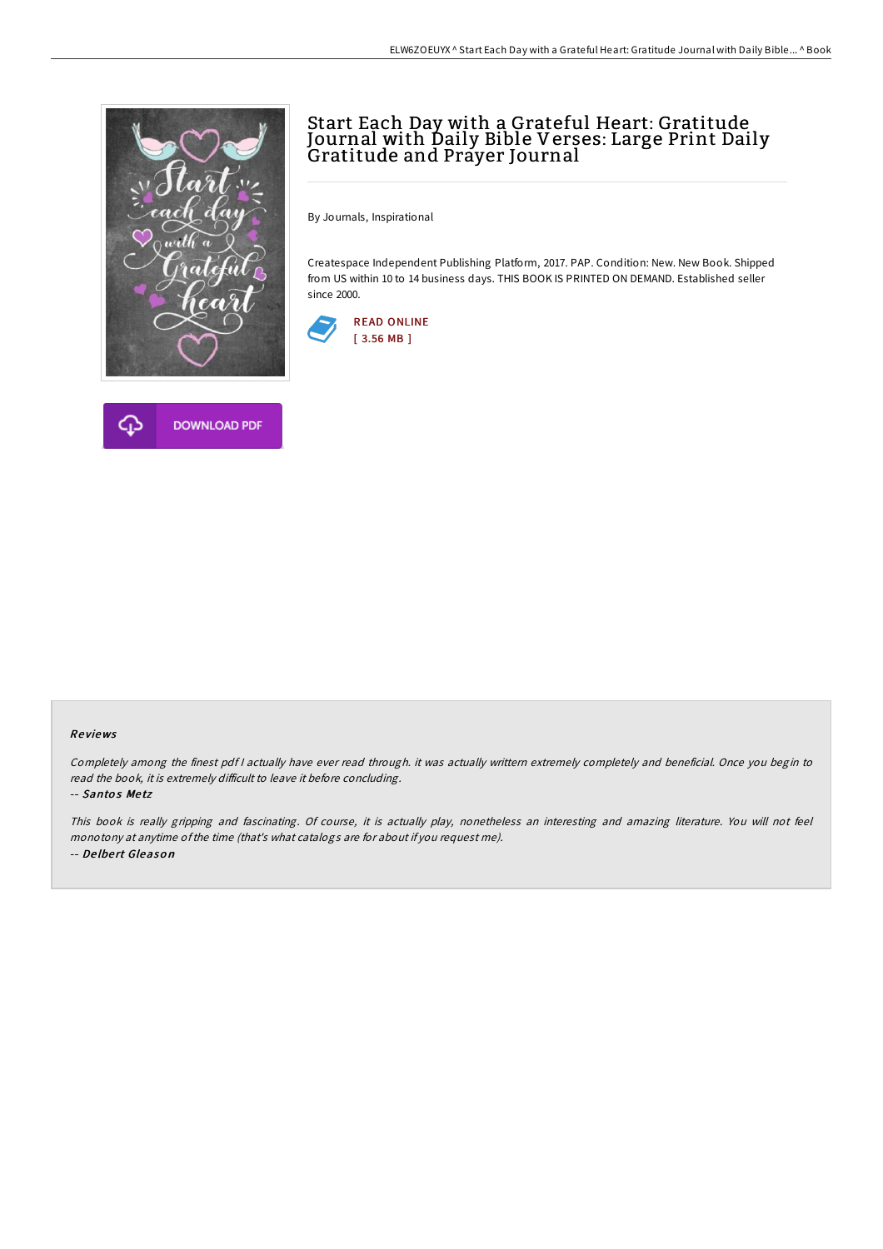

## Start Each Day with a Grateful Heart: Gratitude Journal with Daily Bible Verses: Large Print Daily<br>Gratitude and Prayer Journal

By Journals, Inspirational

Createspace Independent Publishing Platform, 2017. PAP. Condition: New. New Book. Shipped from US within 10 to 14 business days. THIS BOOK IS PRINTED ON DEMAND. Established seller since 2000.





## Re views

Completely among the finest pdf <sup>I</sup> actually have ever read through. it was actually writtern extremely completely and beneficial. Once you begin to read the book, it is extremely difficult to leave it before concluding.

-- Santos Metz

This book is really gripping and fascinating. Of course, it is actually play, nonetheless an interesting and amazing literature. You will not feel monotony at anytime ofthe time (that's what catalogs are for about if you request me). -- De lbe rt Gleaso <sup>n</sup>